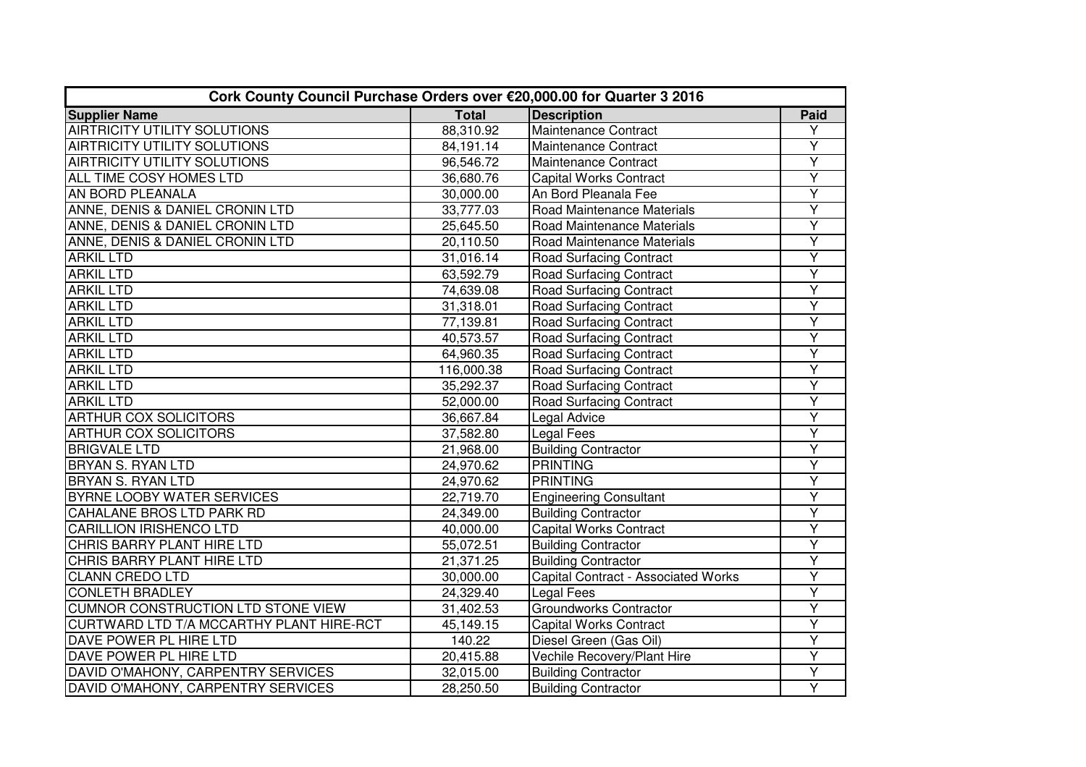| Cork County Council Purchase Orders over €20,000.00 for Quarter 3 2016 |              |                                     |                         |  |
|------------------------------------------------------------------------|--------------|-------------------------------------|-------------------------|--|
| <b>Supplier Name</b>                                                   | <b>Total</b> | <b>Description</b>                  | Paid                    |  |
| <b>AIRTRICITY UTILITY SOLUTIONS</b>                                    | 88,310.92    | Maintenance Contract                | Y                       |  |
| <b>AIRTRICITY UTILITY SOLUTIONS</b>                                    | 84,191.14    | Maintenance Contract                | Y                       |  |
| <b>AIRTRICITY UTILITY SOLUTIONS</b>                                    | 96,546.72    | Maintenance Contract                | Υ                       |  |
| ALL TIME COSY HOMES LTD                                                | 36,680.76    | <b>Capital Works Contract</b>       | $\overline{Y}$          |  |
| AN BORD PLEANALA                                                       | 30,000.00    | An Bord Pleanala Fee                | Y                       |  |
| ANNE, DENIS & DANIEL CRONIN LTD                                        | 33,777.03    | Road Maintenance Materials          | $\overline{Y}$          |  |
| ANNE, DENIS & DANIEL CRONIN LTD                                        | 25,645.50    | Road Maintenance Materials          | $\overline{Y}$          |  |
| ANNE, DENIS & DANIEL CRONIN LTD                                        | 20,110.50    | Road Maintenance Materials          | $\overline{Y}$          |  |
| <b>ARKIL LTD</b>                                                       | 31,016.14    | <b>Road Surfacing Contract</b>      | Ÿ                       |  |
| <b>ARKIL LTD</b>                                                       | 63,592.79    | <b>Road Surfacing Contract</b>      | Ÿ                       |  |
| <b>ARKIL LTD</b>                                                       | 74,639.08    | <b>Road Surfacing Contract</b>      | Ÿ                       |  |
| <b>ARKIL LTD</b>                                                       | 31,318.01    | <b>Road Surfacing Contract</b>      | Ÿ                       |  |
| <b>ARKIL LTD</b>                                                       | 77,139.81    | <b>Road Surfacing Contract</b>      | Ÿ                       |  |
| <b>ARKIL LTD</b>                                                       | 40,573.57    | <b>Road Surfacing Contract</b>      | $\overline{Y}$          |  |
| <b>ARKIL LTD</b>                                                       | 64,960.35    | <b>Road Surfacing Contract</b>      | $\overline{Y}$          |  |
| <b>ARKIL LTD</b>                                                       | 116,000.38   | <b>Road Surfacing Contract</b>      | $\overline{\mathsf{Y}}$ |  |
| <b>ARKIL LTD</b>                                                       | 35,292.37    | <b>Road Surfacing Contract</b>      | $\overline{Y}$          |  |
| <b>ARKIL LTD</b>                                                       | 52,000.00    | <b>Road Surfacing Contract</b>      | $\overline{Y}$          |  |
| <b>ARTHUR COX SOLICITORS</b>                                           | 36,667.84    | Legal Advice                        | Ÿ                       |  |
| <b>ARTHUR COX SOLICITORS</b>                                           | 37,582.80    | Legal Fees                          | Ÿ                       |  |
| <b>BRIGVALE LTD</b>                                                    | 21,968.00    | <b>Building Contractor</b>          | Υ                       |  |
| <b>BRYAN S. RYAN LTD</b>                                               | 24,970.62    | <b>PRINTING</b>                     | Y                       |  |
| <b>BRYAN S. RYAN LTD</b>                                               | 24,970.62    | <b>PRINTING</b>                     | Ÿ                       |  |
| BYRNE LOOBY WATER SERVICES                                             | 22,719.70    | <b>Engineering Consultant</b>       | $\overline{Y}$          |  |
| <b>CAHALANE BROS LTD PARK RD</b>                                       | 24,349.00    | <b>Building Contractor</b>          | $\overline{Y}$          |  |
| <b>CARILLION IRISHENCO LTD</b>                                         | 40,000.00    | <b>Capital Works Contract</b>       | Y                       |  |
| CHRIS BARRY PLANT HIRE LTD                                             | 55,072.51    | <b>Building Contractor</b>          | $\overline{Y}$          |  |
| CHRIS BARRY PLANT HIRE LTD                                             | 21,371.25    | <b>Building Contractor</b>          | $\overline{Y}$          |  |
| <b>CLANN CREDO LTD</b>                                                 | 30,000.00    | Capital Contract - Associated Works | $\overline{Y}$          |  |
| <b>CONLETH BRADLEY</b>                                                 | 24,329.40    | Legal Fees                          | $\overline{Y}$          |  |
| CUMNOR CONSTRUCTION LTD STONE VIEW                                     | 31,402.53    | Groundworks Contractor              | $\overline{Y}$          |  |
| CURTWARD LTD T/A MCCARTHY PLANT HIRE-RCT                               | 45,149.15    | Capital Works Contract              | $\overline{Y}$          |  |
| DAVE POWER PL HIRE LTD                                                 | 140.22       | Diesel Green (Gas Oil)              | $\overline{Y}$          |  |
| DAVE POWER PL HIRE LTD                                                 | 20,415.88    | Vechile Recovery/Plant Hire         | $\overline{Y}$          |  |
| DAVID O'MAHONY, CARPENTRY SERVICES                                     | 32,015.00    | <b>Building Contractor</b>          | Y                       |  |
| DAVID O'MAHONY, CARPENTRY SERVICES                                     | 28,250.50    | <b>Building Contractor</b>          | $\overline{Y}$          |  |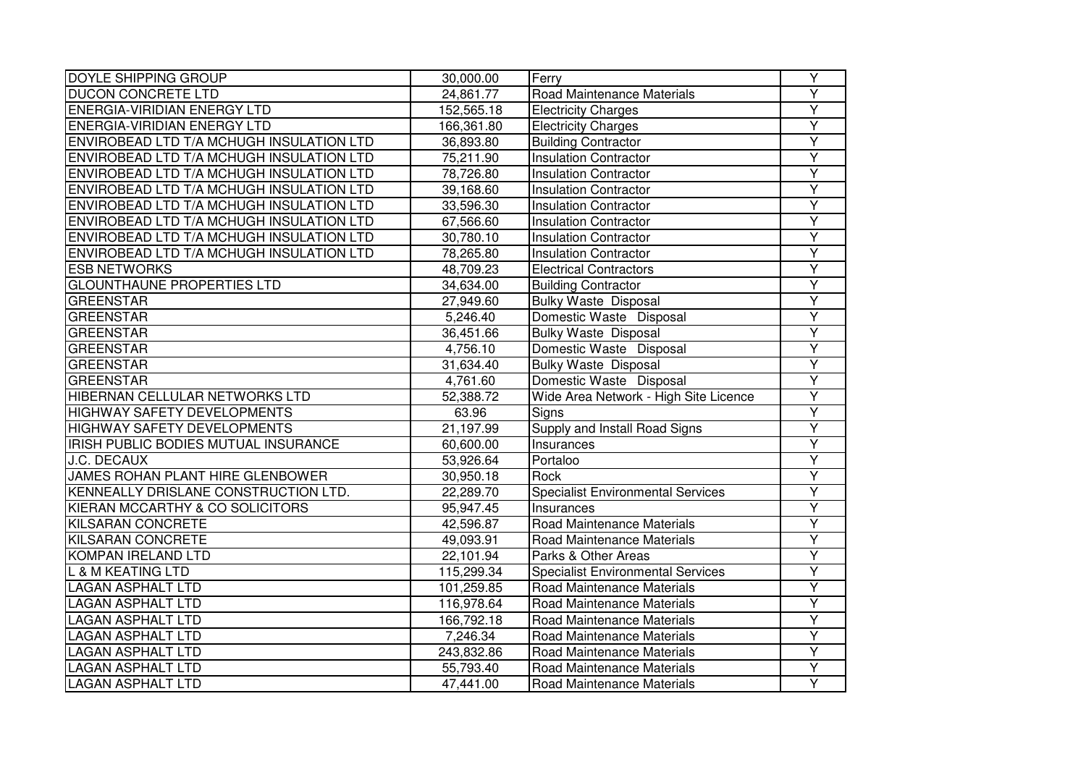| <b>DOYLE SHIPPING GROUP</b>                 | 30,000.00  | Ferry                                    | $\overline{Y}$          |
|---------------------------------------------|------------|------------------------------------------|-------------------------|
| <b>DUCON CONCRETE LTD</b>                   | 24,861.77  | Road Maintenance Materials               | Ÿ                       |
| <b>ENERGIA-VIRIDIAN ENERGY LTD</b>          | 152,565.18 | <b>Electricity Charges</b>               | $\overline{\mathsf{Y}}$ |
| <b>ENERGIA-VIRIDIAN ENERGY LTD</b>          | 166,361.80 | <b>Electricity Charges</b>               | Ÿ                       |
| ENVIROBEAD LTD T/A MCHUGH INSULATION LTD    | 36,893.80  | <b>Building Contractor</b>               | $\overline{\mathsf{Y}}$ |
| ENVIROBEAD LTD T/A MCHUGH INSULATION LTD    | 75,211.90  | <b>Insulation Contractor</b>             | $\overline{Y}$          |
| ENVIROBEAD LTD T/A MCHUGH INSULATION LTD    | 78,726.80  | <b>Insulation Contractor</b>             | Ÿ                       |
| ENVIROBEAD LTD T/A MCHUGH INSULATION LTD    | 39,168.60  | <b>Insulation Contractor</b>             | Y                       |
| ENVIROBEAD LTD T/A MCHUGH INSULATION LTD    | 33,596.30  | <b>Insulation Contractor</b>             | Υ                       |
| ENVIROBEAD LTD T/A MCHUGH INSULATION LTD    | 67,566.60  | <b>Insulation Contractor</b>             | $\overline{Y}$          |
| ENVIROBEAD LTD T/A MCHUGH INSULATION LTD    | 30,780.10  | <b>Insulation Contractor</b>             | $\overline{Y}$          |
| ENVIROBEAD LTD T/A MCHUGH INSULATION LTD    | 78,265.80  | <b>Insulation Contractor</b>             | Ÿ                       |
| <b>ESB NETWORKS</b>                         | 48,709.23  | <b>Electrical Contractors</b>            | $\overline{Y}$          |
| <b>GLOUNTHAUNE PROPERTIES LTD</b>           | 34,634.00  | <b>Building Contractor</b>               | Y                       |
| <b>GREENSTAR</b>                            | 27,949.60  | <b>Bulky Waste Disposal</b>              | $\overline{Y}$          |
| <b>GREENSTAR</b>                            | 5,246.40   | Domestic Waste Disposal                  | $\overline{Y}$          |
| GREENSTAR                                   | 36,451.66  | <b>Bulky Waste Disposal</b>              | Υ                       |
| GREENSTAR                                   | 4,756.10   | Domestic Waste Disposal                  | $\overline{Y}$          |
| GREENSTAR                                   | 31,634.40  | <b>Bulky Waste Disposal</b>              | $\overline{Y}$          |
| <b>GREENSTAR</b>                            | 4,761.60   | Domestic Waste Disposal                  | $\overline{Y}$          |
| HIBERNAN CELLULAR NETWORKS LTD              | 52,388.72  | Wide Area Network - High Site Licence    | $\overline{Y}$          |
| <b>HIGHWAY SAFETY DEVELOPMENTS</b>          | 63.96      | Signs                                    | $\overline{Y}$          |
| <b>HIGHWAY SAFETY DEVELOPMENTS</b>          | 21,197.99  | Supply and Install Road Signs            | $\overline{Y}$          |
| <b>IRISH PUBLIC BODIES MUTUAL INSURANCE</b> | 60,600.00  | Insurances                               | Ÿ                       |
| <b>J.C. DECAUX</b>                          | 53,926.64  | Portaloo                                 | $\overline{Y}$          |
| JAMES ROHAN PLANT HIRE GLENBOWER            | 30,950.18  | Rock                                     | Ÿ                       |
| KENNEALLY DRISLANE CONSTRUCTION LTD.        | 22,289.70  | Specialist Environmental Services        | Υ                       |
| KIERAN MCCARTHY & CO SOLICITORS             | 95,947.45  | Insurances                               | $\overline{Y}$          |
| <b>KILSARAN CONCRETE</b>                    | 42,596.87  | Road Maintenance Materials               | $\overline{Y}$          |
| <b>KILSARAN CONCRETE</b>                    | 49,093.91  | Road Maintenance Materials               | $\overline{Y}$          |
| <b>KOMPAN IRELAND LTD</b>                   | 22,101.94  | Parks & Other Areas                      | Ÿ                       |
| <b>L &amp; M KEATING LTD</b>                | 115,299.34 | <b>Specialist Environmental Services</b> | $\overline{Y}$          |
| <b>LAGAN ASPHALT LTD</b>                    | 101,259.85 | Road Maintenance Materials               | $\overline{Y}$          |
| <b>LAGAN ASPHALT LTD</b>                    | 116,978.64 | Road Maintenance Materials               | $\overline{Y}$          |
| <b>LAGAN ASPHALT LTD</b>                    | 166,792.18 | Road Maintenance Materials               | $\overline{Y}$          |
| <b>LAGAN ASPHALT LTD</b>                    | 7,246.34   | Road Maintenance Materials               | $\overline{Y}$          |
| <b>LAGAN ASPHALT LTD</b>                    | 243,832.86 | Road Maintenance Materials               | Y                       |
| <b>LAGAN ASPHALT LTD</b>                    | 55,793.40  | Road Maintenance Materials               | Y                       |
| <b>LAGAN ASPHALT LTD</b>                    | 47,441.00  | Road Maintenance Materials               | $\overline{Y}$          |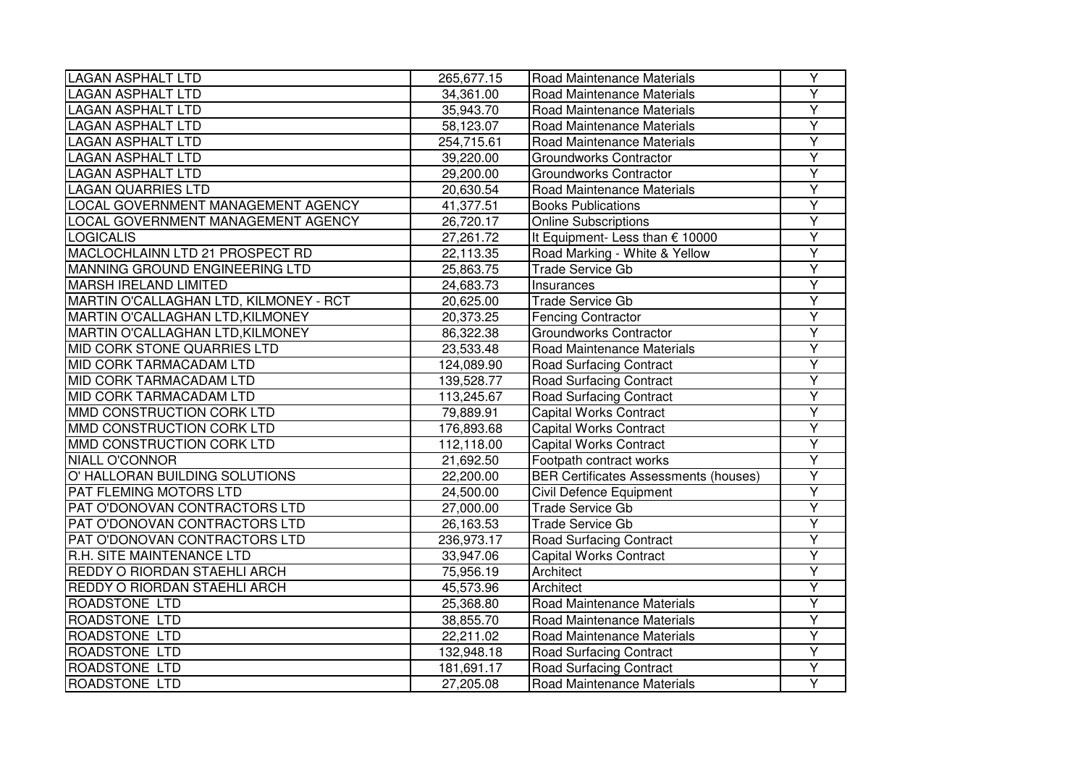| <b>LAGAN ASPHALT LTD</b>               | 265,677.15 | Road Maintenance Materials                   | Y              |
|----------------------------------------|------------|----------------------------------------------|----------------|
| <b>LAGAN ASPHALT LTD</b>               | 34,361.00  | Road Maintenance Materials                   | Ÿ              |
| <b>LAGAN ASPHALT LTD</b>               | 35,943.70  | Road Maintenance Materials                   | $\overline{Y}$ |
| <b>LAGAN ASPHALT LTD</b>               | 58,123.07  | Road Maintenance Materials                   | Ÿ              |
| <b>LAGAN ASPHALT LTD</b>               | 254,715.61 | Road Maintenance Materials                   | $\overline{Y}$ |
| <b>LAGAN ASPHALT LTD</b>               | 39,220.00  | <b>Groundworks Contractor</b>                | $\overline{Y}$ |
| <b>LAGAN ASPHALT LTD</b>               | 29,200.00  | Groundworks Contractor                       | Υ              |
| <b>LAGAN QUARRIES LTD</b>              | 20,630.54  | Road Maintenance Materials                   | $\overline{Y}$ |
| LOCAL GOVERNMENT MANAGEMENT AGENCY     | 41,377.51  | <b>Books Publications</b>                    | Y              |
| LOCAL GOVERNMENT MANAGEMENT AGENCY     | 26,720.17  | <b>Online Subscriptions</b>                  | $\overline{Y}$ |
| <b>LOGICALIS</b>                       | 27,261.72  | It Equipment- Less than € 10000              | $\overline{Y}$ |
| MACLOCHLAINN LTD 21 PROSPECT RD        | 22,113.35  | Road Marking - White & Yellow                | $\overline{Y}$ |
| MANNING GROUND ENGINEERING LTD         | 25,863.75  | <b>Trade Service Gb</b>                      | $\overline{Y}$ |
| <b>MARSH IRELAND LIMITED</b>           | 24,683.73  | Insurances                                   | $\overline{Y}$ |
| MARTIN O'CALLAGHAN LTD, KILMONEY - RCT | 20,625.00  | <b>Trade Service Gb</b>                      | $\overline{Y}$ |
| MARTIN O'CALLAGHAN LTD, KILMONEY       | 20,373.25  | <b>Fencing Contractor</b>                    | $\overline{Y}$ |
| MARTIN O'CALLAGHAN LTD, KILMONEY       | 86,322.38  | <b>Groundworks Contractor</b>                | $\overline{Y}$ |
| MID CORK STONE QUARRIES LTD            | 23,533.48  | Road Maintenance Materials                   | Υ              |
| MID CORK TARMACADAM LTD                | 124,089.90 | <b>Road Surfacing Contract</b>               | $\overline{Y}$ |
| MID CORK TARMACADAM LTD                | 139,528.77 | <b>Road Surfacing Contract</b>               | $\overline{Y}$ |
| MID CORK TARMACADAM LTD                | 113,245.67 | <b>Road Surfacing Contract</b>               | $\overline{Y}$ |
| MMD CONSTRUCTION CORK LTD              | 79,889.91  | <b>Capital Works Contract</b>                | $\overline{Y}$ |
| MMD CONSTRUCTION CORK LTD              | 176,893.68 | <b>Capital Works Contract</b>                | Y              |
| MMD CONSTRUCTION CORK LTD              | 112,118.00 | <b>Capital Works Contract</b>                | $\overline{Y}$ |
| <b>NIALL O'CONNOR</b>                  | 21,692.50  | Footpath contract works                      | $\overline{Y}$ |
| O' HALLORAN BUILDING SOLUTIONS         | 22,200.00  | <b>BER Certificates Assessments (houses)</b> | Ÿ              |
| PAT FLEMING MOTORS LTD                 | 24,500.00  | Civil Defence Equipment                      | $\overline{Y}$ |
| PAT O'DONOVAN CONTRACTORS LTD          | 27,000.00  | <b>Trade Service Gb</b>                      | Y              |
| PAT O'DONOVAN CONTRACTORS LTD          | 26,163.53  | <b>Trade Service Gb</b>                      | $\overline{Y}$ |
| PAT O'DONOVAN CONTRACTORS LTD          | 236,973.17 | Road Surfacing Contract                      | $\overline{Y}$ |
| R.H. SITE MAINTENANCE LTD              | 33,947.06  | <b>Capital Works Contract</b>                | $\overline{Y}$ |
| REDDY O RIORDAN STAEHLI ARCH           | 75,956.19  | Architect                                    | $\overline{Y}$ |
| REDDY O RIORDAN STAEHLI ARCH           | 45,573.96  | Architect                                    | $\overline{Y}$ |
| ROADSTONE LTD                          | 25,368.80  | Road Maintenance Materials                   | $\overline{Y}$ |
| ROADSTONE LTD                          | 38,855.70  | Road Maintenance Materials                   | $\overline{Y}$ |
| <b>ROADSTONE LTD</b>                   | 22,211.02  | Road Maintenance Materials                   | Ÿ              |
| ROADSTONE LTD                          | 132,948.18 | <b>Road Surfacing Contract</b>               | Y              |
| ROADSTONE LTD                          | 181,691.17 | <b>Road Surfacing Contract</b>               | Y              |
| ROADSTONE LTD                          | 27,205.08  | Road Maintenance Materials                   | $\overline{Y}$ |